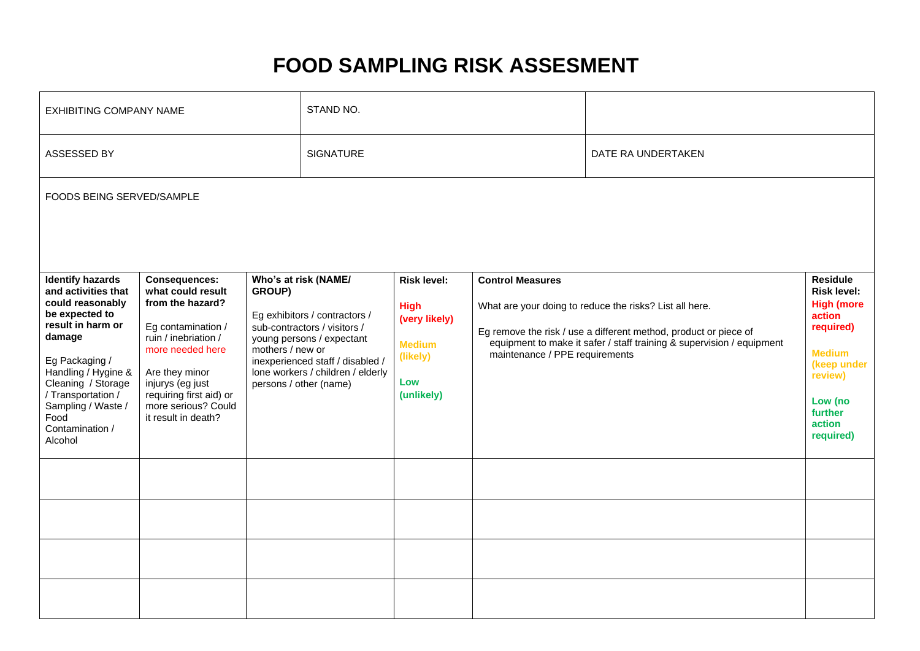# **FOOD SAMPLING RISK ASSESMENT**

| <b>EXHIBITING COMPANY NAME</b>                                                                                                                                                                                                                                       |                                                                                                                                                                                                                                                |                                                                                                                                                                                                                                                     | STAND NO.        |                                                                                                      |                         |                                                                                                                                                                                                                                        |  |  |  |  |  |  |
|----------------------------------------------------------------------------------------------------------------------------------------------------------------------------------------------------------------------------------------------------------------------|------------------------------------------------------------------------------------------------------------------------------------------------------------------------------------------------------------------------------------------------|-----------------------------------------------------------------------------------------------------------------------------------------------------------------------------------------------------------------------------------------------------|------------------|------------------------------------------------------------------------------------------------------|-------------------------|----------------------------------------------------------------------------------------------------------------------------------------------------------------------------------------------------------------------------------------|--|--|--|--|--|--|
| ASSESSED BY                                                                                                                                                                                                                                                          |                                                                                                                                                                                                                                                |                                                                                                                                                                                                                                                     | <b>SIGNATURE</b> |                                                                                                      |                         | DATE RA UNDERTAKEN                                                                                                                                                                                                                     |  |  |  |  |  |  |
| FOODS BEING SERVED/SAMPLE                                                                                                                                                                                                                                            |                                                                                                                                                                                                                                                |                                                                                                                                                                                                                                                     |                  |                                                                                                      |                         |                                                                                                                                                                                                                                        |  |  |  |  |  |  |
| <b>Identify hazards</b><br>and activities that<br>could reasonably<br>be expected to<br>result in harm or<br>damage<br>Eg Packaging /<br>Handling / Hygine &<br>Cleaning / Storage<br>/ Transportation /<br>Sampling / Waste /<br>Food<br>Contamination /<br>Alcohol | <b>Consequences:</b><br>what could result<br>from the hazard?<br>Eg contamination /<br>ruin / inebriation /<br>more needed here<br>Are they minor<br>injurys (eg just<br>requiring first aid) or<br>more serious? Could<br>it result in death? | Who's at risk (NAME/<br>GROUP)<br>Eg exhibitors / contractors /<br>sub-contractors / visitors /<br>young persons / expectant<br>mothers / new or<br>inexperienced staff / disabled /<br>lone workers / children / elderly<br>persons / other (name) |                  | <b>Risk level:</b><br><b>High</b><br>(very likely)<br><b>Medium</b><br>(likely)<br>Low<br>(unlikely) | <b>Control Measures</b> | What are your doing to reduce the risks? List all here.<br>Eg remove the risk / use a different method, product or piece of<br>equipment to make it safer / staff training & supervision / equipment<br>maintenance / PPE requirements |  |  |  |  |  |  |
|                                                                                                                                                                                                                                                                      |                                                                                                                                                                                                                                                |                                                                                                                                                                                                                                                     |                  |                                                                                                      |                         |                                                                                                                                                                                                                                        |  |  |  |  |  |  |
|                                                                                                                                                                                                                                                                      |                                                                                                                                                                                                                                                |                                                                                                                                                                                                                                                     |                  |                                                                                                      |                         |                                                                                                                                                                                                                                        |  |  |  |  |  |  |
|                                                                                                                                                                                                                                                                      |                                                                                                                                                                                                                                                |                                                                                                                                                                                                                                                     |                  |                                                                                                      |                         |                                                                                                                                                                                                                                        |  |  |  |  |  |  |
|                                                                                                                                                                                                                                                                      |                                                                                                                                                                                                                                                |                                                                                                                                                                                                                                                     |                  |                                                                                                      |                         |                                                                                                                                                                                                                                        |  |  |  |  |  |  |